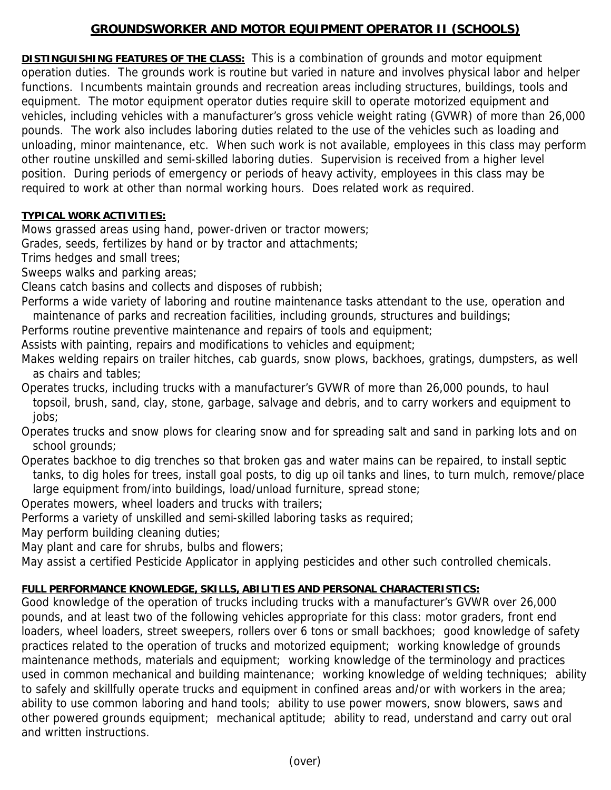## **GROUNDSWORKER AND MOTOR EQUIPMENT OPERATOR II (SCHOOLS)**

**DISTINGUISHING FEATURES OF THE CLASS:** This is a combination of grounds and motor equipment operation duties. The grounds work is routine but varied in nature and involves physical labor and helper functions. Incumbents maintain grounds and recreation areas including structures, buildings, tools and equipment. The motor equipment operator duties require skill to operate motorized equipment and vehicles, including vehicles with a manufacturer's gross vehicle weight rating (GVWR) of more than 26,000 pounds. The work also includes laboring duties related to the use of the vehicles such as loading and unloading, minor maintenance, etc. When such work is not available, employees in this class may perform other routine unskilled and semi-skilled laboring duties. Supervision is received from a higher level position. During periods of emergency or periods of heavy activity, employees in this class may be required to work at other than normal working hours. Does related work as required.

## **TYPICAL WORK ACTIVITIES:**

Mows grassed areas using hand, power-driven or tractor mowers;

Grades, seeds, fertilizes by hand or by tractor and attachments;

Trims hedges and small trees;

Sweeps walks and parking areas;

Cleans catch basins and collects and disposes of rubbish;

Performs a wide variety of laboring and routine maintenance tasks attendant to the use, operation and maintenance of parks and recreation facilities, including grounds, structures and buildings;

Performs routine preventive maintenance and repairs of tools and equipment;

Assists with painting, repairs and modifications to vehicles and equipment;

Makes welding repairs on trailer hitches, cab guards, snow plows, backhoes, gratings, dumpsters, as well as chairs and tables;

Operates trucks, including trucks with a manufacturer's GVWR of more than 26,000 pounds, to haul topsoil, brush, sand, clay, stone, garbage, salvage and debris, and to carry workers and equipment to jobs;

Operates trucks and snow plows for clearing snow and for spreading salt and sand in parking lots and on school grounds;

Operates backhoe to dig trenches so that broken gas and water mains can be repaired, to install septic tanks, to dig holes for trees, install goal posts, to dig up oil tanks and lines, to turn mulch, remove/place large equipment from/into buildings, load/unload furniture, spread stone;

Operates mowers, wheel loaders and trucks with trailers;

Performs a variety of unskilled and semi-skilled laboring tasks as required;

May perform building cleaning duties;

May plant and care for shrubs, bulbs and flowers;

May assist a certified Pesticide Applicator in applying pesticides and other such controlled chemicals.

## **FULL PERFORMANCE KNOWLEDGE, SKILLS, ABILITIES AND PERSONAL CHARACTERISTICS:**

Good knowledge of the operation of trucks including trucks with a manufacturer's GVWR over 26,000 pounds, and at least two of the following vehicles appropriate for this class: motor graders, front end loaders, wheel loaders, street sweepers, rollers over 6 tons or small backhoes; good knowledge of safety practices related to the operation of trucks and motorized equipment; working knowledge of grounds maintenance methods, materials and equipment; working knowledge of the terminology and practices used in common mechanical and building maintenance; working knowledge of welding techniques; ability to safely and skillfully operate trucks and equipment in confined areas and/or with workers in the area; ability to use common laboring and hand tools; ability to use power mowers, snow blowers, saws and other powered grounds equipment; mechanical aptitude; ability to read, understand and carry out oral and written instructions.